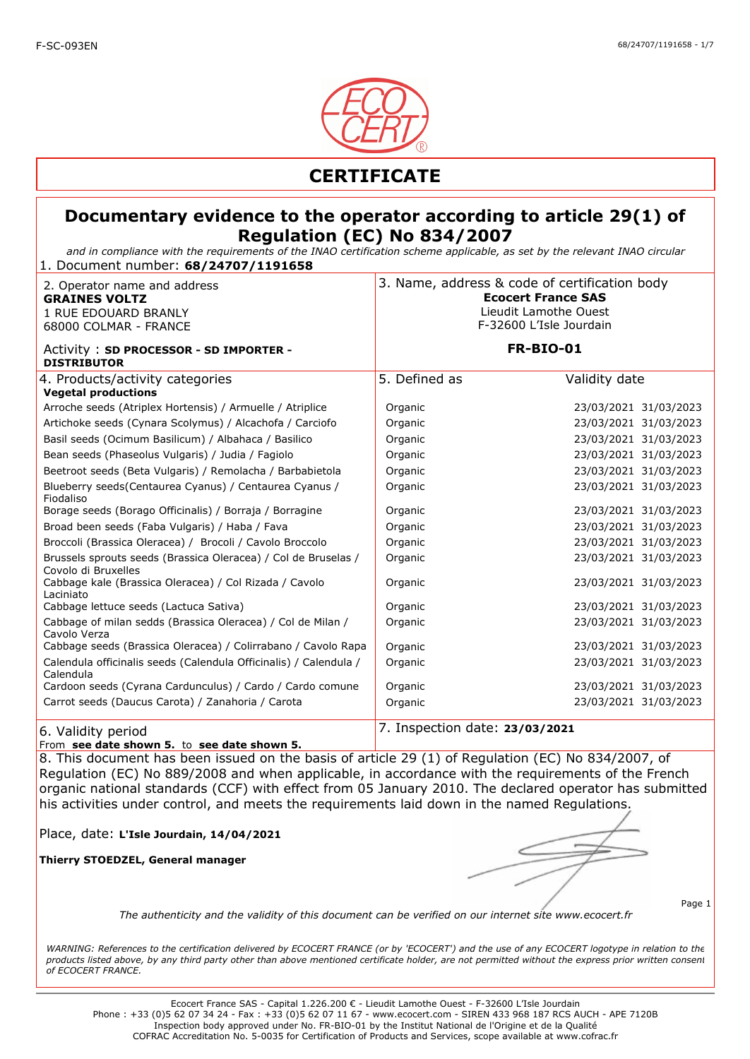

*and in compliance with the requirements of the INAO certification scheme applicable, as set by the relevant INAO circular* 1. Document number: **68/24707/1191658**

| 2. Operator name and address<br><b>GRAINES VOLTZ</b><br>1 RUE EDOUARD BRANLY<br>68000 COLMAR - FRANCE | 3. Name, address & code of certification body<br><b>Ecocert France SAS</b><br>Lieudit Lamothe Ouest<br>F-32600 L'Isle Jourdain |                       |
|-------------------------------------------------------------------------------------------------------|--------------------------------------------------------------------------------------------------------------------------------|-----------------------|
| Activity: SD PROCESSOR - SD IMPORTER -<br><b>DISTRIBUTOR</b>                                          | <b>FR-BIO-01</b>                                                                                                               |                       |
| 4. Products/activity categories<br><b>Vegetal productions</b>                                         | 5. Defined as                                                                                                                  | Validity date         |
| Arroche seeds (Atriplex Hortensis) / Armuelle / Atriplice                                             | Organic                                                                                                                        | 23/03/2021 31/03/2023 |
| Artichoke seeds (Cynara Scolymus) / Alcachofa / Carciofo                                              | Organic                                                                                                                        | 23/03/2021 31/03/2023 |
| Basil seeds (Ocimum Basilicum) / Albahaca / Basilico                                                  | Organic                                                                                                                        | 23/03/2021 31/03/2023 |
| Bean seeds (Phaseolus Vulgaris) / Judia / Fagiolo                                                     | Organic                                                                                                                        | 23/03/2021 31/03/2023 |
| Beetroot seeds (Beta Vulgaris) / Remolacha / Barbabietola                                             | Organic                                                                                                                        | 23/03/2021 31/03/2023 |
| Blueberry seeds(Centaurea Cyanus) / Centaurea Cyanus /<br>Fiodaliso                                   | Organic                                                                                                                        | 23/03/2021 31/03/2023 |
| Borage seeds (Borago Officinalis) / Borraja / Borragine                                               | Organic                                                                                                                        | 23/03/2021 31/03/2023 |
| Broad been seeds (Faba Vulgaris) / Haba / Fava                                                        | Organic                                                                                                                        | 23/03/2021 31/03/2023 |
| Broccoli (Brassica Oleracea) / Brocoli / Cavolo Broccolo                                              | Organic                                                                                                                        | 23/03/2021 31/03/2023 |
| Brussels sprouts seeds (Brassica Oleracea) / Col de Bruselas /<br>Covolo di Bruxelles                 | Organic                                                                                                                        | 23/03/2021 31/03/2023 |
| Cabbage kale (Brassica Oleracea) / Col Rizada / Cavolo<br>Laciniato                                   | Organic                                                                                                                        | 23/03/2021 31/03/2023 |
| Cabbage lettuce seeds (Lactuca Sativa)                                                                | Organic                                                                                                                        | 23/03/2021 31/03/2023 |
| Cabbage of milan sedds (Brassica Oleracea) / Col de Milan /<br>Cavolo Verza                           | Organic                                                                                                                        | 23/03/2021 31/03/2023 |
| Cabbage seeds (Brassica Oleracea) / Colirrabano / Cavolo Rapa                                         | Organic                                                                                                                        | 23/03/2021 31/03/2023 |
| Calendula officinalis seeds (Calendula Officinalis) / Calendula /<br>Calendula                        | Organic                                                                                                                        | 23/03/2021 31/03/2023 |
| Cardoon seeds (Cyrana Cardunculus) / Cardo / Cardo comune                                             | Organic                                                                                                                        | 23/03/2021 31/03/2023 |
| Carrot seeds (Daucus Carota) / Zanahoria / Carota                                                     | Organic                                                                                                                        | 23/03/2021 31/03/2023 |
| 6. Validity period                                                                                    | 7. Inspection date: 23/03/2021                                                                                                 |                       |

#### From **see date shown 5.** to **see date shown 5.**

8. This document has been issued on the basis of article 29 (1) of Regulation (EC) No 834/2007, of Regulation (EC) No 889/2008 and when applicable, in accordance with the requirements of the French organic national standards (CCF) with effect from 05 January 2010. The declared operator has submitted his activities under control, and meets the requirements laid down in the named Regulations.

Place, date: **L'Isle Jourdain, 14/04/2021**

**Thierry STOEDZEL, General manager**

Page 1

*The authenticity and the validity of this document can be verified on our internet site www.ecocert.fr*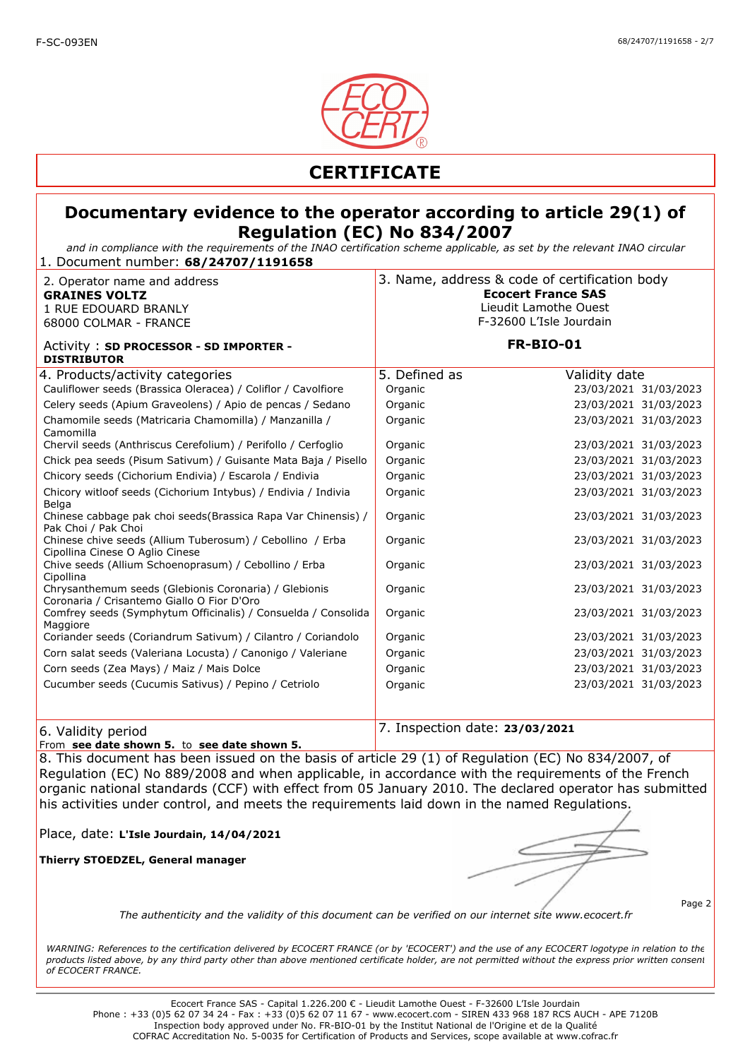

*and in compliance with the requirements of the INAO certification scheme applicable, as set by the relevant INAO circular* 1. Document number: **68/24707/1191658**

| 2. Operator name and address<br><b>GRAINES VOLTZ</b><br>1 RUE EDOUARD BRANLY<br>68000 COLMAR - FRANCE                                                                                                                   | 3. Name, address & code of certification body<br><b>Ecocert France SAS</b><br>Lieudit Lamothe Ouest<br>F-32600 L'Isle Jourdain |                                                                                          |
|-------------------------------------------------------------------------------------------------------------------------------------------------------------------------------------------------------------------------|--------------------------------------------------------------------------------------------------------------------------------|------------------------------------------------------------------------------------------|
| Activity: SD PROCESSOR - SD IMPORTER -<br><b>DISTRIBUTOR</b>                                                                                                                                                            | <b>FR-BIO-01</b>                                                                                                               |                                                                                          |
| 4. Products/activity categories<br>Cauliflower seeds (Brassica Oleracea) / Coliflor / Cavolfiore<br>Celery seeds (Apium Graveolens) / Apio de pencas / Sedano<br>Chamomile seeds (Matricaria Chamomilla) / Manzanilla / | 5. Defined as<br>Organic<br>Organic<br>Organic                                                                                 | Validity date<br>23/03/2021 31/03/2023<br>23/03/2021 31/03/2023<br>23/03/2021 31/03/2023 |
| Camomilla<br>Chervil seeds (Anthriscus Cerefolium) / Perifollo / Cerfoglio<br>Chick pea seeds (Pisum Sativum) / Guisante Mata Baja / Pisello                                                                            | Organic<br>Organic                                                                                                             | 23/03/2021 31/03/2023<br>23/03/2021 31/03/2023                                           |
| Chicory seeds (Cichorium Endivia) / Escarola / Endivia<br>Chicory witloof seeds (Cichorium Intybus) / Endivia / Indivia<br>Belga                                                                                        | Organic<br>Organic                                                                                                             | 23/03/2021 31/03/2023<br>23/03/2021 31/03/2023                                           |
| Chinese cabbage pak choi seeds (Brassica Rapa Var Chinensis) /<br>Pak Choi / Pak Choi<br>Chinese chive seeds (Allium Tuberosum) / Cebollino / Erba<br>Cipollina Cinese O Aglio Cinese                                   | Organic<br>Organic                                                                                                             | 23/03/2021 31/03/2023<br>23/03/2021 31/03/2023                                           |
| Chive seeds (Allium Schoenoprasum) / Cebollino / Erba<br>Cipollina<br>Chrysanthemum seeds (Glebionis Coronaria) / Glebionis                                                                                             | Organic<br>Organic                                                                                                             | 23/03/2021 31/03/2023<br>23/03/2021 31/03/2023                                           |
| Coronaria / Crisantemo Giallo O Fior D'Oro<br>Comfrey seeds (Symphytum Officinalis) / Consuelda / Consolida<br>Maggiore                                                                                                 | Organic                                                                                                                        | 23/03/2021 31/03/2023                                                                    |
| Coriander seeds (Coriandrum Sativum) / Cilantro / Coriandolo<br>Corn salat seeds (Valeriana Locusta) / Canonigo / Valeriane                                                                                             | Organic<br>Organic                                                                                                             | 23/03/2021 31/03/2023<br>23/03/2021 31/03/2023                                           |
| Corn seeds (Zea Mays) / Maiz / Mais Dolce                                                                                                                                                                               | Organic                                                                                                                        | 23/03/2021 31/03/2023                                                                    |
| Cucumber seeds (Cucumis Sativus) / Pepino / Cetriolo                                                                                                                                                                    | Organic                                                                                                                        | 23/03/2021 31/03/2023                                                                    |
| 6. Validity period                                                                                                                                                                                                      | 7. Inspection date: 23/03/2021                                                                                                 |                                                                                          |

From **see date shown 5.** to **see date shown 5.** 

8. This document has been issued on the basis of article 29 (1) of Regulation (EC) No 834/2007, of Regulation (EC) No 889/2008 and when applicable, in accordance with the requirements of the French organic national standards (CCF) with effect from 05 January 2010. The declared operator has submitted his activities under control, and meets the requirements laid down in the named Regulations.

Place, date: **L'Isle Jourdain, 14/04/2021**

**Thierry STOEDZEL, General manager**

Page 2

*The authenticity and the validity of this document can be verified on our internet site www.ecocert.fr*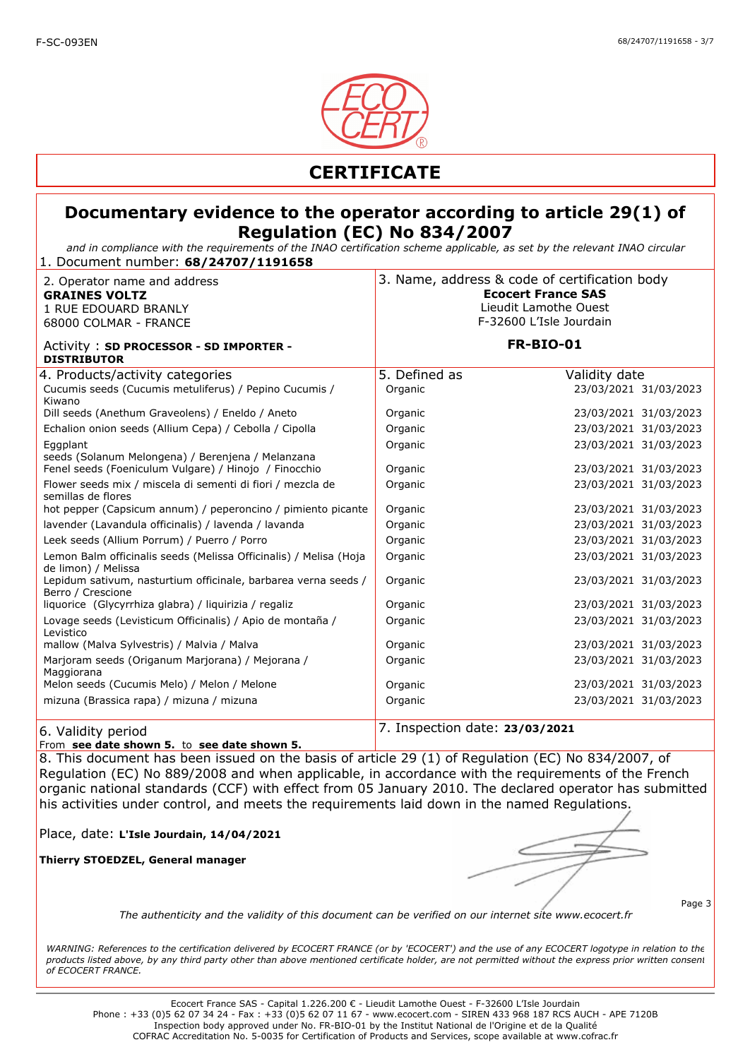

*and in compliance with the requirements of the INAO certification scheme applicable, as set by the relevant INAO circular* 1. Document number: **68/24707/1191658**

| 2. Operator name and address<br><b>GRAINES VOLTZ</b><br>1 RUE EDOUARD BRANLY<br>68000 COLMAR - FRANCE | 3. Name, address & code of certification body<br><b>Ecocert France SAS</b><br>Lieudit Lamothe Ouest<br>F-32600 L'Isle Jourdain |                       |
|-------------------------------------------------------------------------------------------------------|--------------------------------------------------------------------------------------------------------------------------------|-----------------------|
| Activity: SD PROCESSOR - SD IMPORTER -<br><b>DISTRIBUTOR</b>                                          | <b>FR-BIO-01</b>                                                                                                               |                       |
| 4. Products/activity categories                                                                       | 5. Defined as                                                                                                                  | Validity date         |
| Cucumis seeds (Cucumis metuliferus) / Pepino Cucumis /<br>Kiwano                                      | Organic                                                                                                                        | 23/03/2021 31/03/2023 |
| Dill seeds (Anethum Graveolens) / Eneldo / Aneto                                                      | Organic                                                                                                                        | 23/03/2021 31/03/2023 |
| Echalion onion seeds (Allium Cepa) / Cebolla / Cipolla                                                | Organic                                                                                                                        | 23/03/2021 31/03/2023 |
| Eggplant<br>seeds (Solanum Melongena) / Berenjena / Melanzana                                         | Organic                                                                                                                        | 23/03/2021 31/03/2023 |
| Fenel seeds (Foeniculum Vulgare) / Hinojo / Finocchio                                                 | Organic                                                                                                                        | 23/03/2021 31/03/2023 |
| Flower seeds mix / miscela di sementi di fiori / mezcla de<br>semillas de flores                      | Organic                                                                                                                        | 23/03/2021 31/03/2023 |
| hot pepper (Capsicum annum) / peperoncino / pimiento picante                                          | Organic                                                                                                                        | 23/03/2021 31/03/2023 |
| lavender (Lavandula officinalis) / lavenda / lavanda                                                  | Organic                                                                                                                        | 23/03/2021 31/03/2023 |
| Leek seeds (Allium Porrum) / Puerro / Porro                                                           | Organic                                                                                                                        | 23/03/2021 31/03/2023 |
| Lemon Balm officinalis seeds (Melissa Officinalis) / Melisa (Hoja<br>de limon) / Melissa              | Organic                                                                                                                        | 23/03/2021 31/03/2023 |
| Lepidum sativum, nasturtium officinale, barbarea verna seeds /<br>Berro / Crescione                   | Organic                                                                                                                        | 23/03/2021 31/03/2023 |
| liquorice (Glycyrrhiza glabra) / liquirizia / regaliz                                                 | Organic                                                                                                                        | 23/03/2021 31/03/2023 |
| Lovage seeds (Levisticum Officinalis) / Apio de montaña /<br>Levistico                                | Organic                                                                                                                        | 23/03/2021 31/03/2023 |
| mallow (Malva Sylvestris) / Malvia / Malva                                                            | Organic                                                                                                                        | 23/03/2021 31/03/2023 |
| Marjoram seeds (Origanum Marjorana) / Mejorana /<br>Maggiorana                                        | Organic                                                                                                                        | 23/03/2021 31/03/2023 |
| Melon seeds (Cucumis Melo) / Melon / Melone                                                           | Organic                                                                                                                        | 23/03/2021 31/03/2023 |
| mizuna (Brassica rapa) / mizuna / mizuna                                                              | Organic                                                                                                                        | 23/03/2021 31/03/2023 |
| 6. Validity period                                                                                    | 7. Inspection date: 23/03/2021                                                                                                 |                       |

From **see date shown 5.** to **see date shown 5.** 

8. This document has been issued on the basis of article 29 (1) of Regulation (EC) No 834/2007, of Regulation (EC) No 889/2008 and when applicable, in accordance with the requirements of the French organic national standards (CCF) with effect from 05 January 2010. The declared operator has submitted his activities under control, and meets the requirements laid down in the named Regulations.

Place, date: **L'Isle Jourdain, 14/04/2021**

**Thierry STOEDZEL, General manager**

Page 3

*The authenticity and the validity of this document can be verified on our internet site www.ecocert.fr*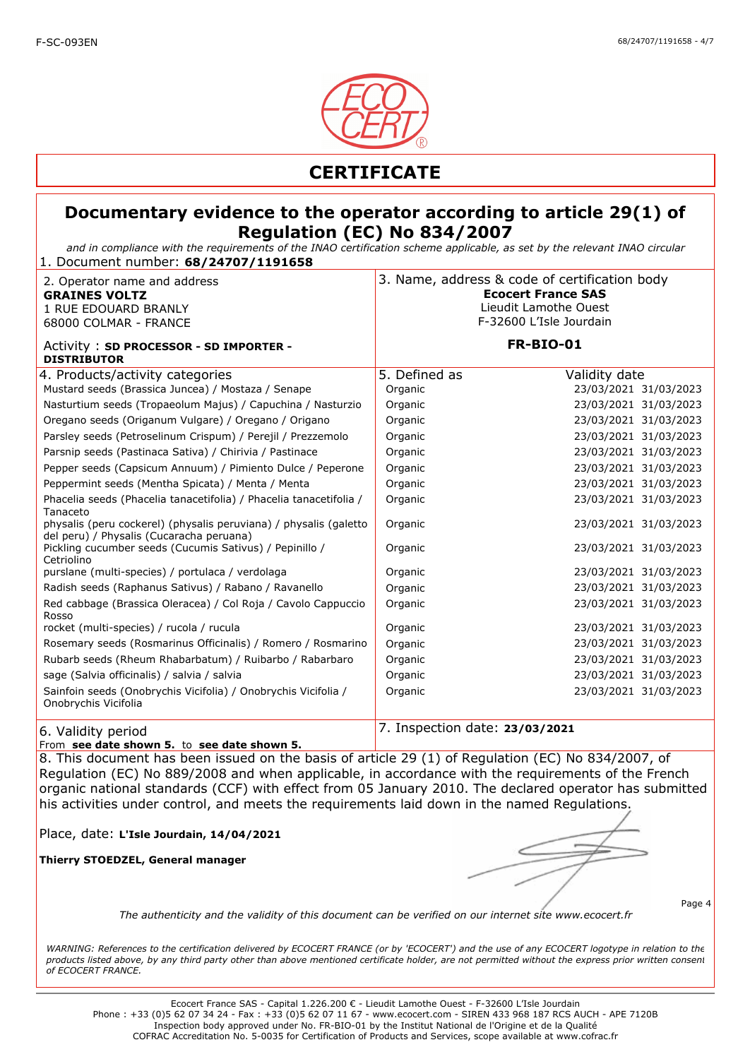

*and in compliance with the requirements of the INAO certification scheme applicable, as set by the relevant INAO circular* 1. Document number: **68/24707/1191658**

| 2. Operator name and address<br><b>GRAINES VOLTZ</b><br>1 RUE EDOUARD BRANLY<br>68000 COLMAR - FRANCE         | 3. Name, address & code of certification body<br><b>Ecocert France SAS</b><br>Lieudit Lamothe Ouest<br>F-32600 L'Isle Jourdain |                       |
|---------------------------------------------------------------------------------------------------------------|--------------------------------------------------------------------------------------------------------------------------------|-----------------------|
| Activity: SD PROCESSOR - SD IMPORTER -<br><b>DISTRIBUTOR</b>                                                  | <b>FR-BIO-01</b>                                                                                                               |                       |
| 4. Products/activity categories                                                                               | 5. Defined as                                                                                                                  | Validity date         |
| Mustard seeds (Brassica Juncea) / Mostaza / Senape                                                            | Organic                                                                                                                        | 23/03/2021 31/03/2023 |
| Nasturtium seeds (Tropaeolum Majus) / Capuchina / Nasturzio                                                   | Organic                                                                                                                        | 23/03/2021 31/03/2023 |
| Oregano seeds (Origanum Vulgare) / Oregano / Origano                                                          | Organic                                                                                                                        | 23/03/2021 31/03/2023 |
| Parsley seeds (Petroselinum Crispum) / Perejil / Prezzemolo                                                   | Organic                                                                                                                        | 23/03/2021 31/03/2023 |
| Parsnip seeds (Pastinaca Sativa) / Chirivia / Pastinace                                                       | Organic                                                                                                                        | 23/03/2021 31/03/2023 |
| Pepper seeds (Capsicum Annuum) / Pimiento Dulce / Peperone                                                    | Organic                                                                                                                        | 23/03/2021 31/03/2023 |
| Peppermint seeds (Mentha Spicata) / Menta / Menta                                                             | Organic                                                                                                                        | 23/03/2021 31/03/2023 |
| Phacelia seeds (Phacelia tanacetifolia) / Phacelia tanacetifolia /<br>Tanaceto                                | Organic                                                                                                                        | 23/03/2021 31/03/2023 |
| physalis (peru cockerel) (physalis peruviana) / physalis (galetto<br>del peru) / Physalis (Cucaracha peruana) | Organic                                                                                                                        | 23/03/2021 31/03/2023 |
| Pickling cucumber seeds (Cucumis Sativus) / Pepinillo /<br>Cetriolino                                         | Organic                                                                                                                        | 23/03/2021 31/03/2023 |
| purslane (multi-species) / portulaca / verdolaga                                                              | Organic                                                                                                                        | 23/03/2021 31/03/2023 |
| Radish seeds (Raphanus Sativus) / Rabano / Ravanello                                                          | Organic                                                                                                                        | 23/03/2021 31/03/2023 |
| Red cabbage (Brassica Oleracea) / Col Roja / Cavolo Cappuccio<br>Rosso                                        | Organic                                                                                                                        | 23/03/2021 31/03/2023 |
| rocket (multi-species) / rucola / rucula                                                                      | Organic                                                                                                                        | 23/03/2021 31/03/2023 |
| Rosemary seeds (Rosmarinus Officinalis) / Romero / Rosmarino                                                  | Organic                                                                                                                        | 23/03/2021 31/03/2023 |
| Rubarb seeds (Rheum Rhabarbatum) / Ruibarbo / Rabarbaro                                                       | Organic                                                                                                                        | 23/03/2021 31/03/2023 |
| sage (Salvia officinalis) / salvia / salvia                                                                   | Organic                                                                                                                        | 23/03/2021 31/03/2023 |
| Sainfoin seeds (Onobrychis Vicifolia) / Onobrychis Vicifolia /<br>Onobrychis Vicifolia                        | Organic                                                                                                                        | 23/03/2021 31/03/2023 |
| 6. Validity period                                                                                            | 7. Inspection date: 23/03/2021                                                                                                 |                       |

From **see date shown 5.** to **see date shown 5.** 

8. This document has been issued on the basis of article 29 (1) of Regulation (EC) No 834/2007, of Regulation (EC) No 889/2008 and when applicable, in accordance with the requirements of the French organic national standards (CCF) with effect from 05 January 2010. The declared operator has submitted his activities under control, and meets the requirements laid down in the named Regulations.

Place, date: **L'Isle Jourdain, 14/04/2021**

**Thierry STOEDZEL, General manager**

Page 4

*The authenticity and the validity of this document can be verified on our internet site www.ecocert.fr*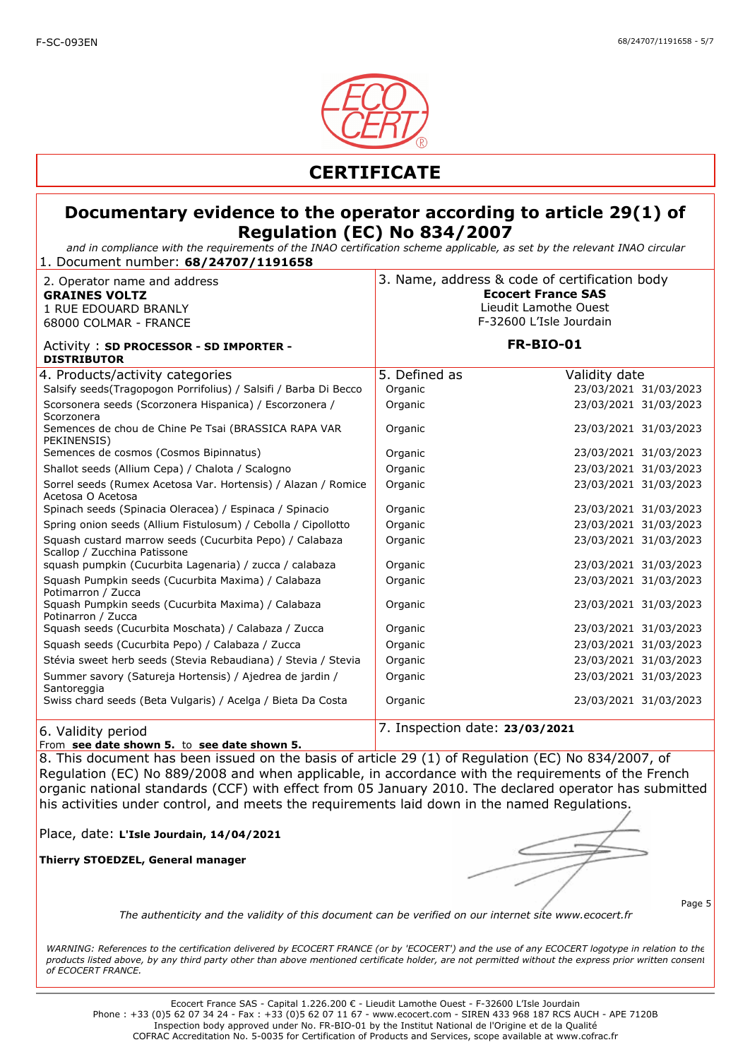

*and in compliance with the requirements of the INAO certification scheme applicable, as set by the relevant INAO circular* 1. Document number: **68/24707/1191658**

| 2. Operator name and address<br><b>GRAINES VOLTZ</b><br>1 RUE EDOUARD BRANLY<br>68000 COLMAR - FRANCE | 3. Name, address & code of certification body<br><b>Ecocert France SAS</b><br>Lieudit Lamothe Ouest<br>F-32600 L'Isle Jourdain |                       |
|-------------------------------------------------------------------------------------------------------|--------------------------------------------------------------------------------------------------------------------------------|-----------------------|
| Activity: SD PROCESSOR - SD IMPORTER -<br><b>DISTRIBUTOR</b>                                          | <b>FR-BIO-01</b>                                                                                                               |                       |
| 4. Products/activity categories                                                                       | 5. Defined as                                                                                                                  | Validity date         |
| Salsify seeds(Tragopogon Porrifolius) / Salsifi / Barba Di Becco                                      | Organic                                                                                                                        | 23/03/2021 31/03/2023 |
| Scorsonera seeds (Scorzonera Hispanica) / Escorzonera /<br>Scorzonera                                 | Organic                                                                                                                        | 23/03/2021 31/03/2023 |
| Semences de chou de Chine Pe Tsai (BRASSICA RAPA VAR<br>PEKINENSIS)                                   | Organic                                                                                                                        | 23/03/2021 31/03/2023 |
| Semences de cosmos (Cosmos Bipinnatus)                                                                | Organic                                                                                                                        | 23/03/2021 31/03/2023 |
| Shallot seeds (Allium Cepa) / Chalota / Scalogno                                                      | Organic                                                                                                                        | 23/03/2021 31/03/2023 |
| Sorrel seeds (Rumex Acetosa Var. Hortensis) / Alazan / Romice<br>Acetosa O Acetosa                    | Organic                                                                                                                        | 23/03/2021 31/03/2023 |
| Spinach seeds (Spinacia Oleracea) / Espinaca / Spinacio                                               | Organic                                                                                                                        | 23/03/2021 31/03/2023 |
| Spring onion seeds (Allium Fistulosum) / Cebolla / Cipollotto                                         | Organic                                                                                                                        | 23/03/2021 31/03/2023 |
| Squash custard marrow seeds (Cucurbita Pepo) / Calabaza<br>Scallop / Zucchina Patissone               | Organic                                                                                                                        | 23/03/2021 31/03/2023 |
| squash pumpkin (Cucurbita Lagenaria) / zucca / calabaza                                               | Organic                                                                                                                        | 23/03/2021 31/03/2023 |
| Squash Pumpkin seeds (Cucurbita Maxima) / Calabaza<br>Potimarron / Zucca                              | Organic                                                                                                                        | 23/03/2021 31/03/2023 |
| Squash Pumpkin seeds (Cucurbita Maxima) / Calabaza<br>Potinarron / Zucca                              | Organic                                                                                                                        | 23/03/2021 31/03/2023 |
| Squash seeds (Cucurbita Moschata) / Calabaza / Zucca                                                  | Organic                                                                                                                        | 23/03/2021 31/03/2023 |
| Squash seeds (Cucurbita Pepo) / Calabaza / Zucca                                                      | Organic                                                                                                                        | 23/03/2021 31/03/2023 |
| Stévia sweet herb seeds (Stevia Rebaudiana) / Stevia / Stevia                                         | Organic                                                                                                                        | 23/03/2021 31/03/2023 |
| Summer savory (Satureja Hortensis) / Ajedrea de jardin /<br>Santoreggia                               | Organic                                                                                                                        | 23/03/2021 31/03/2023 |
| Swiss chard seeds (Beta Vulgaris) / Acelga / Bieta Da Costa                                           | Organic                                                                                                                        | 23/03/2021 31/03/2023 |
| 6. Validity period                                                                                    | 7. Inspection date: 23/03/2021                                                                                                 |                       |

From **see date shown 5.** to **see date shown 5.** 

8. This document has been issued on the basis of article 29 (1) of Regulation (EC) No 834/2007, of Regulation (EC) No 889/2008 and when applicable, in accordance with the requirements of the French organic national standards (CCF) with effect from 05 January 2010. The declared operator has submitted his activities under control, and meets the requirements laid down in the named Regulations.

Place, date: **L'Isle Jourdain, 14/04/2021**

**Thierry STOEDZEL, General manager**

Page 5

*The authenticity and the validity of this document can be verified on our internet site www.ecocert.fr*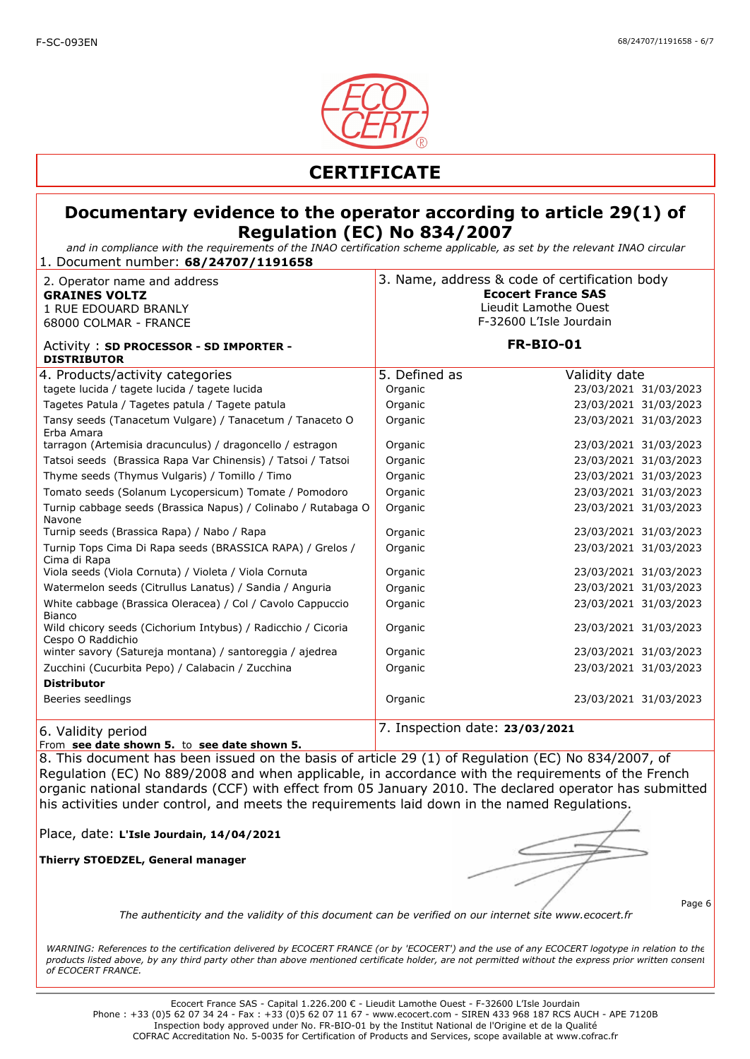

*and in compliance with the requirements of the INAO certification scheme applicable, as set by the relevant INAO circular* 1. Document number: **68/24707/1191658**

| 2. Operator name and address<br><b>GRAINES VOLTZ</b><br>1 RUE EDOUARD BRANLY<br>68000 COLMAR - FRANCE | 3. Name, address & code of certification body | <b>Ecocert France SAS</b><br>Lieudit Lamothe Ouest<br>F-32600 L'Isle Jourdain |
|-------------------------------------------------------------------------------------------------------|-----------------------------------------------|-------------------------------------------------------------------------------|
| Activity: SD PROCESSOR - SD IMPORTER -<br><b>DISTRIBUTOR</b>                                          |                                               | <b>FR-BIO-01</b>                                                              |
| 4. Products/activity categories                                                                       | 5. Defined as                                 | Validity date                                                                 |
| tagete lucida / tagete lucida / tagete lucida                                                         | Organic                                       | 23/03/2021 31/03/2023                                                         |
| Tagetes Patula / Tagetes patula / Tagete patula                                                       | Organic                                       | 23/03/2021 31/03/2023                                                         |
| Tansy seeds (Tanacetum Vulgare) / Tanacetum / Tanaceto O<br>Erba Amara                                | Organic                                       | 23/03/2021 31/03/2023                                                         |
| tarragon (Artemisia dracunculus) / dragoncello / estragon                                             | Organic                                       | 23/03/2021 31/03/2023                                                         |
| Tatsoi seeds (Brassica Rapa Var Chinensis) / Tatsoi / Tatsoi                                          | Organic                                       | 23/03/2021 31/03/2023                                                         |
| Thyme seeds (Thymus Vulgaris) / Tomillo / Timo                                                        | Organic                                       | 23/03/2021 31/03/2023                                                         |
| Tomato seeds (Solanum Lycopersicum) Tomate / Pomodoro                                                 | Organic                                       | 23/03/2021 31/03/2023                                                         |
| Turnip cabbage seeds (Brassica Napus) / Colinabo / Rutabaga O<br>Navone                               | Organic                                       | 23/03/2021 31/03/2023                                                         |
| Turnip seeds (Brassica Rapa) / Nabo / Rapa                                                            | Organic                                       | 23/03/2021 31/03/2023                                                         |
| Turnip Tops Cima Di Rapa seeds (BRASSICA RAPA) / Grelos /<br>Cima di Rapa                             | Organic                                       | 23/03/2021 31/03/2023                                                         |
| Viola seeds (Viola Cornuta) / Violeta / Viola Cornuta                                                 | Organic                                       | 23/03/2021 31/03/2023                                                         |
| Watermelon seeds (Citrullus Lanatus) / Sandia / Anguria                                               | Organic                                       | 23/03/2021 31/03/2023                                                         |
| White cabbage (Brassica Oleracea) / Col / Cavolo Cappuccio<br><b>Bianco</b>                           | Organic                                       | 23/03/2021 31/03/2023                                                         |
| Wild chicory seeds (Cichorium Intybus) / Radicchio / Cicoria<br>Cespo O Raddichio                     | Organic                                       | 23/03/2021 31/03/2023                                                         |
| winter savory (Satureja montana) / santoreggia / ajedrea                                              | Organic                                       | 23/03/2021 31/03/2023                                                         |
| Zucchini (Cucurbita Pepo) / Calabacin / Zucchina                                                      | Organic                                       | 23/03/2021 31/03/2023                                                         |
| <b>Distributor</b>                                                                                    |                                               |                                                                               |
| Beeries seedlings                                                                                     | Organic                                       | 23/03/2021 31/03/2023                                                         |
| 6. Validity period                                                                                    | 7. Inspection date: 23/03/2021                |                                                                               |

From **see date shown 5.** to **see date shown 5.** 

8. This document has been issued on the basis of article 29 (1) of Regulation (EC) No 834/2007, of Regulation (EC) No 889/2008 and when applicable, in accordance with the requirements of the French organic national standards (CCF) with effect from 05 January 2010. The declared operator has submitted his activities under control, and meets the requirements laid down in the named Regulations.

Place, date: **L'Isle Jourdain, 14/04/2021**

**Thierry STOEDZEL, General manager**

Page 6

*The authenticity and the validity of this document can be verified on our internet site www.ecocert.fr*